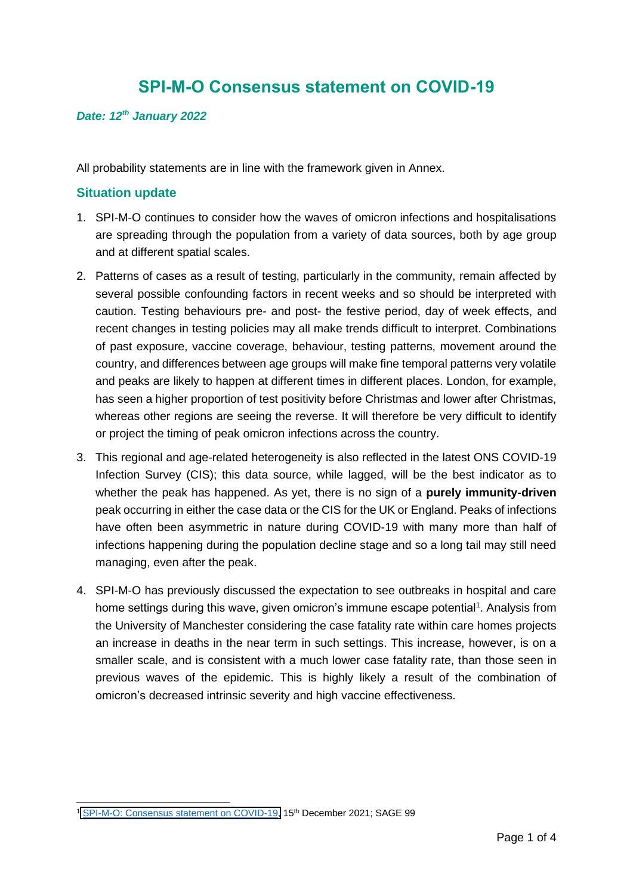# **SPI-M-O Consensus statement on COVID-19**

#### *Date: 12th January 2022*

All probability statements are in line with the framework given in Annex.

#### **Situation update**

- 1. SPI-M-O continues to consider how the waves of omicron infections and hospitalisations are spreading through the population from a variety of data sources, both by age group and at different spatial scales.
- 2. Patterns of cases as a result of testing, particularly in the community, remain affected by several possible confounding factors in recent weeks and so should be interpreted with caution. Testing behaviours pre- and post- the festive period, day of week effects, and recent changes in testing policies may all make trends difficult to interpret. Combinations of past exposure, vaccine coverage, behaviour, testing patterns, movement around the country, and differences between age groups will make fine temporal patterns very volatile and peaks are likely to happen at different times in different places. London, for example, has seen a higher proportion of test positivity before Christmas and lower after Christmas, whereas other regions are seeing the reverse. It will therefore be very difficult to identify or project the timing of peak omicron infections across the country.
- 3. This regional and age-related heterogeneity is also reflected in the latest ONS COVID-19 Infection Survey (CIS); this data source, while lagged, will be the best indicator as to whether the peak has happened. As yet, there is no sign of a **purely immunity-driven** peak occurring in either the case data or the CIS for the UK or England. Peaks of infections have often been asymmetric in nature during COVID-19 with many more than half of infections happening during the population decline stage and so a long tail may still need managing, even after the peak.
- 4. SPI-M-O has previously discussed the expectation to see outbreaks in hospital and care home settings during this wave, given omicron's immune escape potential<sup>1</sup>. Analysis from the University of Manchester considering the case fatality rate within care homes projects an increase in deaths in the near term in such settings. This increase, however, is on a smaller scale, and is consistent with a much lower case fatality rate, than those seen in previous waves of the epidemic. This is highly likely a result of the combination of omicron's decreased intrinsic severity and high vaccine effectiveness.

<sup>&</sup>lt;sup>1</sup> [SPI-M-O: Consensus statement on COVID-19,](https://www.gov.uk/government/publications/spi-m-o-consensus-statement-on-covid-19-15-december-2021) 15<sup>th</sup> December 2021; SAGE 99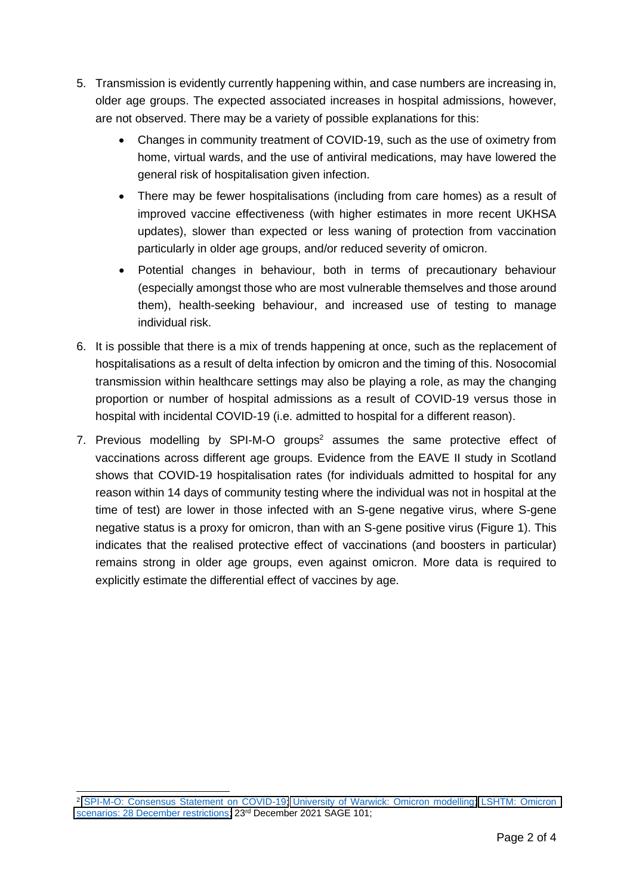- 5. Transmission is evidently currently happening within, and case numbers are increasing in, older age groups. The expected associated increases in hospital admissions, however, are not observed. There may be a variety of possible explanations for this:
	- Changes in community treatment of COVID-19, such as the use of oximetry from home, virtual wards, and the use of antiviral medications, may have lowered the general risk of hospitalisation given infection.
	- There may be fewer hospitalisations (including from care homes) as a result of improved vaccine effectiveness (with higher estimates in more recent UKHSA updates), slower than expected or less waning of protection from vaccination particularly in older age groups, and/or reduced severity of omicron.
	- Potential changes in behaviour, both in terms of precautionary behaviour (especially amongst those who are most vulnerable themselves and those around them), health-seeking behaviour, and increased use of testing to manage individual risk.
- 6. It is possible that there is a mix of trends happening at once, such as the replacement of hospitalisations as a result of delta infection by omicron and the timing of this. Nosocomial transmission within healthcare settings may also be playing a role, as may the changing proportion or number of hospital admissions as a result of COVID-19 versus those in hospital with incidental COVID-19 (i.e. admitted to hospital for a different reason).
- 7. Previous modelling by SPI-M-O groups<sup>2</sup> assumes the same protective effect of vaccinations across different age groups. Evidence from the EAVE II study in Scotland shows that COVID-19 hospitalisation rates (for individuals admitted to hospital for any reason within 14 days of community testing where the individual was not in hospital at the time of test) are lower in those infected with an S-gene negative virus, where S-gene negative status is a proxy for omicron, than with an S-gene positive virus (Figure 1). This indicates that the realised protective effect of vaccinations (and boosters in particular) remains strong in older age groups, even against omicron. More data is required to explicitly estimate the differential effect of vaccines by age.

<sup>2</sup> [SPI-M-O: Consensus Statement on COVID-19;](https://www.gov.uk/government/publications/spi-m-o-consensus-statement-on-covid-19-22-december-2021) [University of Warwick: Omicron modelling;](https://www.gov.uk/government/publications/university-of-warwick-omicron-modelling-22-december-2021) [LSHTM: Omicron](https://www.gov.uk/government/publications/lshtm-omicron-scenarios-28-december-restrictions-22-december-2021)  [scenarios: 28 December restrictions;](https://www.gov.uk/government/publications/lshtm-omicron-scenarios-28-december-restrictions-22-december-2021) 23rd December 2021 SAGE 101;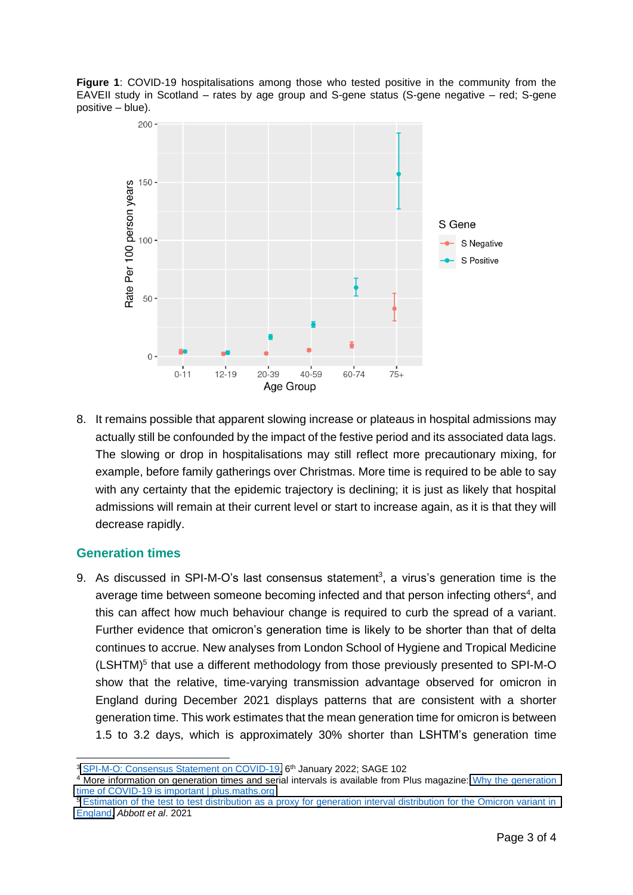**Figure 1**: COVID-19 hospitalisations among those who tested positive in the community from the EAVEII study in Scotland – rates by age group and S-gene status (S-gene negative – red; S-gene positive – blue).



8. It remains possible that apparent slowing increase or plateaus in hospital admissions may actually still be confounded by the impact of the festive period and its associated data lags. The slowing or drop in hospitalisations may still reflect more precautionary mixing, for example, before family gatherings over Christmas. More time is required to be able to say with any certainty that the epidemic trajectory is declining; it is just as likely that hospital admissions will remain at their current level or start to increase again, as it is that they will decrease rapidly.

#### **Generation times**

9. As discussed in SPI-M-O's last consensus statement<sup>3</sup>, a virus's generation time is the average time between someone becoming infected and that person infecting others<sup>4</sup>, and this can affect how much behaviour change is required to curb the spread of a variant. Further evidence that omicron's generation time is likely to be shorter than that of delta continues to accrue. New analyses from London School of Hygiene and Tropical Medicine (LSHTM)<sup>5</sup> that use a different methodology from those previously presented to SPI-M-O show that the relative, time-varying transmission advantage observed for omicron in England during December 2021 displays patterns that are consistent with a shorter generation time. This work estimates that the mean generation time for omicron is between 1.5 to 3.2 days, which is approximately 30% shorter than LSHTM's generation time

<sup>4</sup> More information on generation times and serial intervals is available from Plus magazine: Why the generation [time of COVID-19 is important | plus.maths.org](https://plus.maths.org/content/why-generation-time-covid-19-important)

<sup>5</sup> Estimation of the test to test distribution as a proxy for generation interval distribution for the Omicron variant in [England,](https://epiforecasts.io/omicron-sgtf-forecast/generation-time) *Abbott et al*. 2021

<sup>&</sup>lt;sup>3</sup> SPI-M-O: [Consensus Statement on COVID-19,](https://www.gov.uk/government/publications/spi-m-o-consensus-statement-on-covid-19-6-january-2022) 6<sup>th</sup> January 2022; SAGE 102